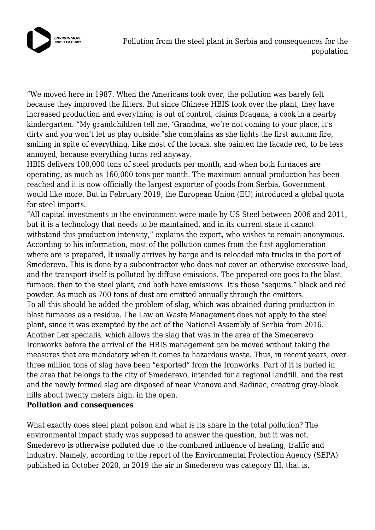

"We moved here in 1987. When the Americans took over, the pollution was barely felt because they improved the filters. But since Chinese HBIS took over the plant, they have increased production and everything is out of control, claims Dragana, a cook in a nearby kindergarten. "My grandchildren tell me, 'Grandma, we're not coming to your place, it's dirty and you won't let us play outside."she complains as she lights the first autumn fire, smiling in spite of everything. Like most of the locals, she painted the facade red, to be less annoyed, because everything turns red anyway.

HBIS delivers 100,000 tons of steel products per month, and when both furnaces are operating, as much as 160,000 tons per month. The maximum annual production has been reached and it is now officially the largest exporter of goods from Serbia. Government would like more. But in February 2019, the European Union (EU) introduced a global quota for steel imports.

"All capital investments in the environment were made by US Steel between 2006 and 2011, but it is a technology that needs to be maintained, and in its current state it cannot withstand this production intensity," explains the expert, who wishes to remain anonymous. According to his information, most of the pollution comes from the first agglomeration where ore is prepared, It usually arrives by barge and is reloaded into trucks in the port of Smederevo. This is done by a subcontractor who does not cover an otherwise excessive load, and the transport itself is polluted by diffuse emissions. The prepared ore goes to the blast furnace, then to the steel plant, and both have emissions. It's those "sequins," black and red powder. As much as 700 tons of dust are emitted annually through the emitters. To all this should be added the problem of slag, which was obtained during production in blast furnaces as a residue. The Law on Waste Management does not apply to the steel plant, since it was exempted by the act of the National Assembly of Serbia from 2016. Another Lex specialis, which allows the slag that was in the area of the Smederevo Ironworks before the arrival of the HBIS management can be moved without taking the measures that are mandatory when it comes to hazardous waste. Thus, in recent years, over three million tons of slag have been "exported" from the Ironworks. Part of it is buried in the area that belongs to the city of Smederevo, intended for a regional landfill, and the rest and the newly formed slag are disposed of near Vranovo and Radinac, creating gray-black hills about twenty meters high, in the open.

## **Pollution and consequences**

What exactly does steel plant poison and what is its share in the total pollution? The environmental impact study was supposed to answer the question, but it was not. Smederevo is otherwise polluted due to the combined influence of heating, traffic and industry. Namely, according to the report of the Environmental Protection Agency (SEPA) published in October 2020, in 2019 the air in Smederevo was category III, that is,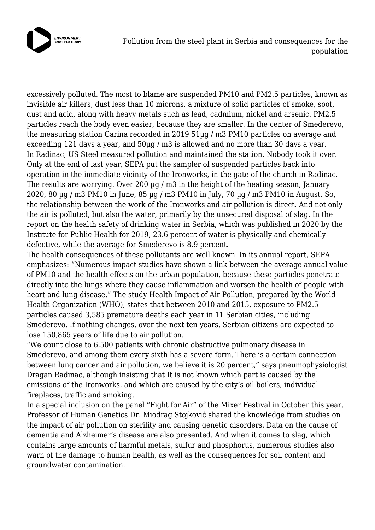

Pollution from the steel plant in Serbia and consequences for the population

excessively polluted. The most to blame are suspended PM10 and PM2.5 particles, known as invisible air killers, dust less than 10 microns, a mixture of solid particles of smoke, soot, dust and acid, along with heavy metals such as lead, cadmium, nickel and arsenic. PM2.5 particles reach the body even easier, because they are smaller. In the center of Smederevo, the measuring station Carina recorded in 2019 51µg / m3 PM10 particles on average and exceeding 121 days a year, and 50µg / m3 is allowed and no more than 30 days a year. In Radinac, US Steel measured pollution and maintained the station. Nobody took it over. Only at the end of last year, SEPA put the sampler of suspended particles back into operation in the immediate vicinity of the Ironworks, in the gate of the church in Radinac. The results are worrying. Over 200 µg / m3 in the height of the heating season, January 2020, 80 µg / m3 PM10 in June, 85 µg / m3 PM10 in July, 70 µg / m3 PM10 in August. So, the relationship between the work of the Ironworks and air pollution is direct. And not only the air is polluted, but also the water, primarily by the unsecured disposal of slag. In the report on the health safety of drinking water in Serbia, which was published in 2020 by the Institute for Public Health for 2019, 23.6 percent of water is physically and chemically defective, while the average for Smederevo is 8.9 percent.

The health consequences of these pollutants are well known. In its annual report, SEPA emphasizes: "Numerous impact studies have shown a link between the average annual value of PM10 and the health effects on the urban population, because these particles penetrate directly into the lungs where they cause inflammation and worsen the health of people with heart and lung disease." The study Health Impact of Air Pollution, prepared by the World Health Organization (WHO), states that between 2010 and 2015, exposure to PM2.5 particles caused 3,585 premature deaths each year in 11 Serbian cities, including Smederevo. If nothing changes, over the next ten years, Serbian citizens are expected to lose 150,865 years of life due to air pollution.

"We count close to 6,500 patients with chronic obstructive pulmonary disease in Smederevo, and among them every sixth has a severe form. There is a certain connection between lung cancer and air pollution, we believe it is 20 percent," says pneumophysiologist Dragan Radinac, although insisting that It is not known which part is caused by the emissions of the Ironworks, and which are caused by the city's oil boilers, individual fireplaces, traffic and smoking.

In a special inclusion on the panel "Fight for Air" of the Mixer Festival in October this year, Professor of Human Genetics Dr. Miodrag Stojković shared the knowledge from studies on the impact of air pollution on sterility and causing genetic disorders. Data on the cause of dementia and Alzheimer's disease are also presented. And when it comes to slag, which contains large amounts of harmful metals, sulfur and phosphorus, numerous studies also warn of the damage to human health, as well as the consequences for soil content and groundwater contamination.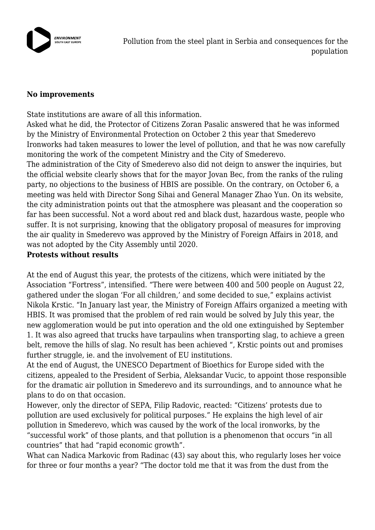

## **No improvements**

State institutions are aware of all this information.

Asked what he did, the Protector of Citizens Zoran Pasalic answered that he was informed by the Ministry of Environmental Protection on October 2 this year that Smederevo Ironworks had taken measures to lower the level of pollution, and that he was now carefully monitoring the work of the competent Ministry and the City of Smederevo.

The administration of the City of Smederevo also did not deign to answer the inquiries, but the official website clearly shows that for the mayor Jovan Bec, from the ranks of the ruling party, no objections to the business of HBIS are possible. On the contrary, on October 6, a meeting was held with Director Song Sihai and General Manager Zhao Yun. On its website, the city administration points out that the atmosphere was pleasant and the cooperation so far has been successful. Not a word about red and black dust, hazardous waste, people who suffer. It is not surprising, knowing that the obligatory proposal of measures for improving the air quality in Smederevo was approved by the Ministry of Foreign Affairs in 2018, and was not adopted by the City Assembly until 2020.

## **Protests without results**

At the end of August this year, the protests of the citizens, which were initiated by the Association "Fortress", intensified. "There were between 400 and 500 people on August 22, gathered under the slogan 'For all children,' and some decided to sue," explains activist Nikola Krstic. "In January last year, the Ministry of Foreign Affairs organized a meeting with HBIS. It was promised that the problem of red rain would be solved by July this year, the new agglomeration would be put into operation and the old one extinguished by September 1. It was also agreed that trucks have tarpaulins when transporting slag, to achieve a green belt, remove the hills of slag. No result has been achieved ", Krstic points out and promises further struggle, ie. and the involvement of EU institutions.

At the end of August, the UNESCO Department of Bioethics for Europe sided with the citizens, appealed to the President of Serbia, Aleksandar Vucic, to appoint those responsible for the dramatic air pollution in Smederevo and its surroundings, and to announce what he plans to do on that occasion.

However, only the director of SEPA, Filip Radovic, reacted: "Citizens' protests due to pollution are used exclusively for political purposes." He explains the high level of air pollution in Smederevo, which was caused by the work of the local ironworks, by the "successful work" of those plants, and that pollution is a phenomenon that occurs "in all countries" that had "rapid economic growth".

What can Nadica Markovic from Radinac (43) say about this, who regularly loses her voice for three or four months a year? "The doctor told me that it was from the dust from the